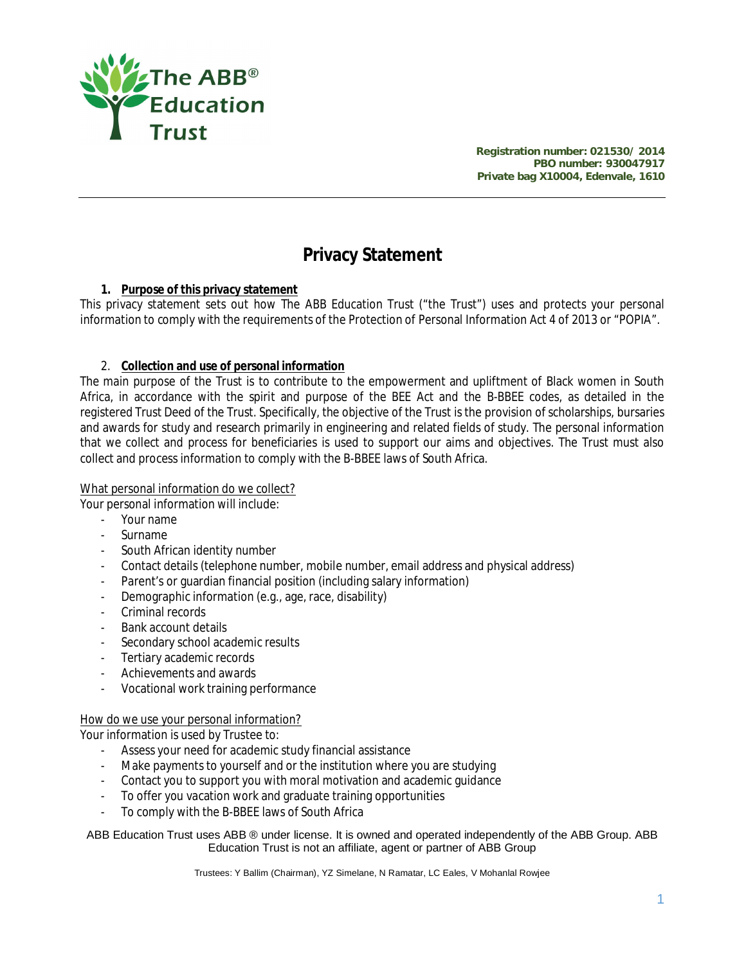

**Registration number: 021530/ 2014 PBO number: 930047917 Private bag X10004, Edenvale, 1610**

# **Privacy Statement**

# **1. Purpose of this privacy statement**

This privacy statement sets out how The ABB Education Trust ("the Trust") uses and protects your personal information to comply with the requirements of the Protection of Personal Information Act 4 of 2013 or "POPIA".

# 2. **Collection and use of personal information**

The main purpose of the Trust is to contribute to the empowerment and upliftment of Black women in South Africa, in accordance with the spirit and purpose of the BEE Act and the B-BBEE codes, as detailed in the registered Trust Deed of the Trust. Specifically, the objective of the Trust is the provision of scholarships, bursaries and awards for study and research primarily in engineering and related fields of study. The personal information that we collect and process for beneficiaries is used to support our aims and objectives. The Trust must also collect and process information to comply with the B-BBEE laws of South Africa.

## What personal information do we collect?

Your personal information will include:

- Your name
- Surname
- South African identity number
- Contact details (telephone number, mobile number, email address and physical address)
- Parent's or guardian financial position (including salary information)
- Demographic information (e.g., age, race, disability)
- Criminal records
- Bank account details
- Secondary school academic results
- Tertiary academic records
- Achievements and awards
- Vocational work training performance

#### How do we use your personal information?

Your information is used by Trustee to:

- Assess your need for academic study financial assistance
- Make payments to yourself and or the institution where you are studying
- Contact you to support you with moral motivation and academic guidance
- To offer you vacation work and graduate training opportunities
- To comply with the B-BBEE laws of South Africa

ABB Education Trust uses ABB ® under license. It is owned and operated independently of the ABB Group. ABB Education Trust is not an affiliate, agent or partner of ABB Group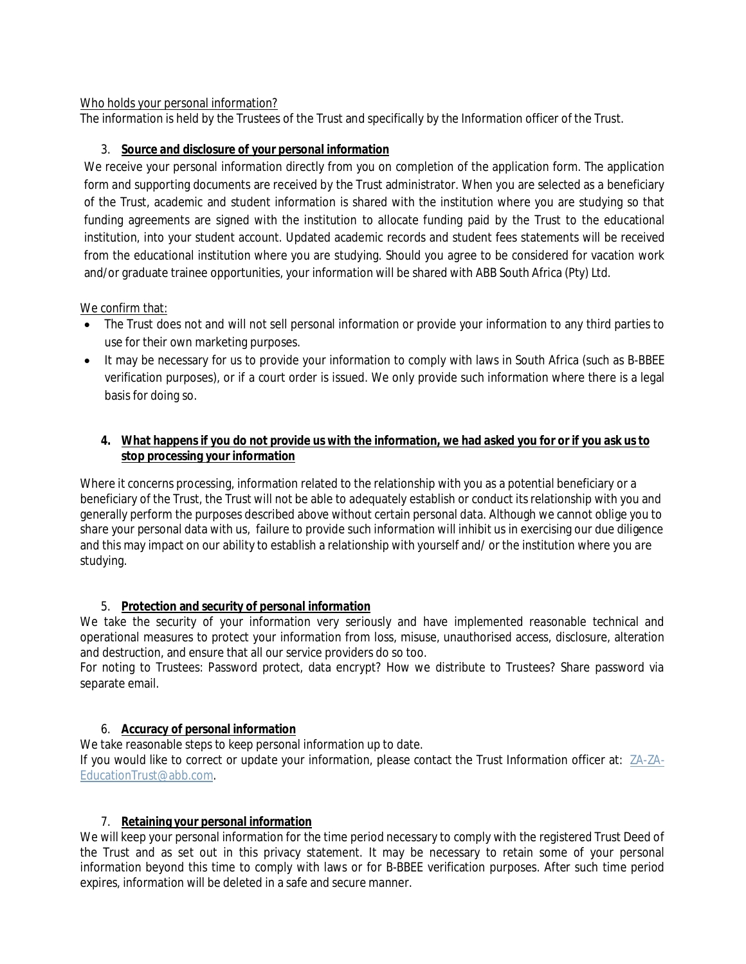# Who holds your personal information?

The information is held by the Trustees of the Trust and specifically by the Information officer of the Trust.

# 3. **Source and disclosure of your personal information**

We receive your personal information directly from you on completion of the application form. The application form and supporting documents are received by the Trust administrator. When you are selected as a beneficiary of the Trust, academic and student information is shared with the institution where you are studying so that funding agreements are signed with the institution to allocate funding paid by the Trust to the educational institution, into your student account. Updated academic records and student fees statements will be received from the educational institution where you are studying. Should you agree to be considered for vacation work and/or graduate trainee opportunities, your information will be shared with ABB South Africa (Pty) Ltd.

### We confirm that:

- The Trust does not and will not sell personal information or provide your information to any third parties to use for their own marketing purposes.
- It may be necessary for us to provide your information to comply with laws in South Africa (such as B-BBEE verification purposes), or if a court order is issued. We only provide such information where there is a legal basis for doing so.

## **4. What happens if you do not provide us with the information, we had asked you for or if you ask us to stop processing your information**

Where it concerns processing, information related to the relationship with you as a potential beneficiary or a beneficiary of the Trust, the Trust will not be able to adequately establish or conduct its relationship with you and generally perform the purposes described above without certain personal data. Although we cannot oblige you to share your personal data with us, failure to provide such information will inhibit us in exercising our due diligence and this may impact on our ability to establish a relationship with yourself and/ or the institution where you are studying.

# 5. **Protection and security of personal information**

We take the security of your information very seriously and have implemented reasonable technical and operational measures to protect your information from loss, misuse, unauthorised access, disclosure, alteration and destruction, and ensure that all our service providers do so too.

For noting to Trustees: Password protect, data encrypt? How we distribute to Trustees? Share password via separate email.

# 6. **Accuracy of personal information**

We take reasonable steps to keep personal information up to date.

If you would like to correct or update your information, please contact the Trust Information officer at: ZA-ZA-EducationTrust@abb.com.

# 7. **Retaining your personal information**

We will keep your personal information for the time period necessary to comply with the registered Trust Deed of the Trust and as set out in this privacy statement. It may be necessary to retain some of your personal information beyond this time to comply with laws or for B-BBEE verification purposes. After such time period expires, information will be deleted in a safe and secure manner.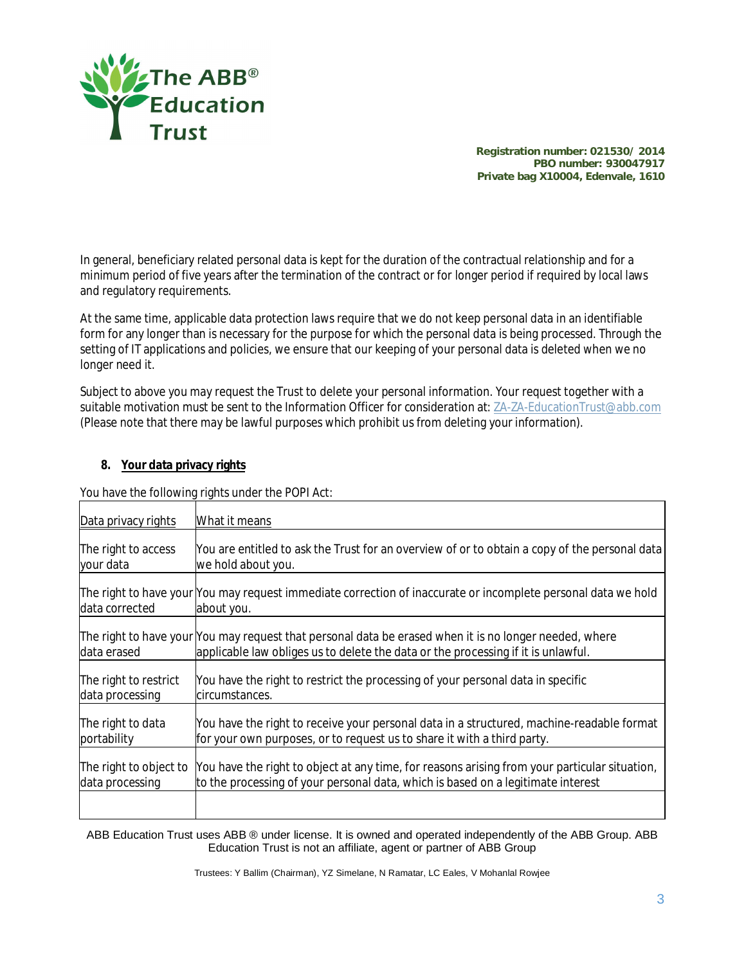

**Registration number: 021530/ 2014 PBO number: 930047917 Private bag X10004, Edenvale, 1610**

In general, beneficiary related personal data is kept for the duration of the contractual relationship and for a minimum period of five years after the termination of the contract or for longer period if required by local laws and regulatory requirements.

At the same time, applicable data protection laws require that we do not keep personal data in an identifiable form for any longer than is necessary for the purpose for which the personal data is being processed. Through the setting of IT applications and policies, we ensure that our keeping of your personal data is deleted when we no longer need it.

Subject to above you may request the Trust to delete your personal information. Your request together with a suitable motivation must be sent to the Information Officer for consideration at: ZA-ZA-EducationTrust@abb.com (Please note that there may be lawful purposes which prohibit us from deleting your information).

### **8. Your data privacy rights**

You have the following rights under the POPI Act:

| Data privacy rights    | What it means                                                                                                                                                                                |
|------------------------|----------------------------------------------------------------------------------------------------------------------------------------------------------------------------------------------|
| The right to access    | You are entitled to ask the Trust for an overview of or to obtain a copy of the personal data                                                                                                |
| your data              | we hold about you.                                                                                                                                                                           |
| data corrected         | The right to have your  You may request immediate correction of inaccurate or incomplete personal data we hold<br>about you.                                                                 |
| data erased            | The right to have your [You may request that personal data be erased when it is no longer needed, where<br>applicable law obliges us to delete the data or the processing if it is unlawful. |
| The right to restrict  | You have the right to restrict the processing of your personal data in specific                                                                                                              |
| data processing        | circumstances.                                                                                                                                                                               |
| The right to data      | You have the right to receive your personal data in a structured, machine-readable format                                                                                                    |
| portability            | for your own purposes, or to request us to share it with a third party.                                                                                                                      |
| The right to object to | You have the right to object at any time, for reasons arising from your particular situation,                                                                                                |
| data processing        | to the processing of your personal data, which is based on a legitimate interest                                                                                                             |
|                        |                                                                                                                                                                                              |

ABB Education Trust uses ABB ® under license. It is owned and operated independently of the ABB Group. ABB Education Trust is not an affiliate, agent or partner of ABB Group

Trustees: Y Ballim (Chairman), YZ Simelane, N Ramatar, LC Eales, V Mohanlal Rowjee